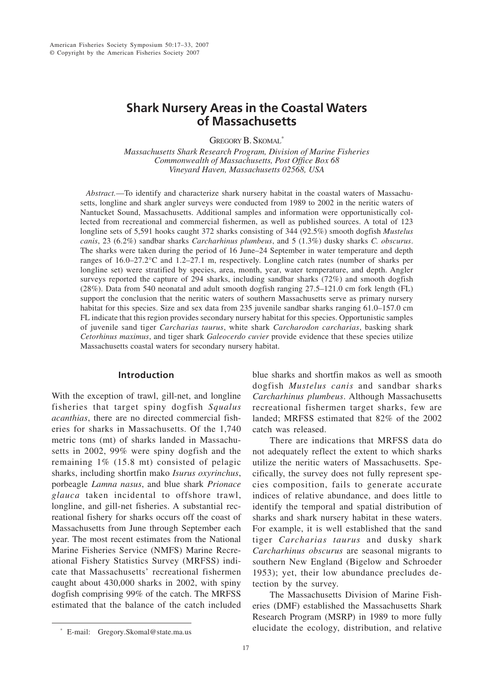# **Shark Nursery Areas in the Coastal Waters of Massachusetts**

GREGORY B. SKOMAL\*

*Massachusetts Shark Research Program, Division of Marine Fisheries Commonwealth of Massachusetts, Post Office Box 68 Vineyard Haven, Massachusetts 02568, USA*

*Abstract.*—To identify and characterize shark nursery habitat in the coastal waters of Massachusetts, longline and shark angler surveys were conducted from 1989 to 2002 in the neritic waters of Nantucket Sound, Massachusetts. Additional samples and information were opportunistically collected from recreational and commercial fishermen, as well as published sources. A total of 123 longline sets of 5,591 hooks caught 372 sharks consisting of 344 (92.5%) smooth dogfish *Mustelus canis*, 23 (6.2%) sandbar sharks *Carcharhinus plumbeus*, and 5 (1.3%) dusky sharks *C. obscurus*. The sharks were taken during the period of 16 June–24 September in water temperature and depth ranges of 16.0–27.2°C and 1.2–27.1 m, respectively. Longline catch rates (number of sharks per longline set) were stratified by species, area, month, year, water temperature, and depth. Angler surveys reported the capture of 294 sharks, including sandbar sharks (72%) and smooth dogfish (28%). Data from 540 neonatal and adult smooth dogfish ranging 27.5–121.0 cm fork length (FL) support the conclusion that the neritic waters of southern Massachusetts serve as primary nursery habitat for this species. Size and sex data from 235 juvenile sandbar sharks ranging 61.0–157.0 cm FL indicate that this region provides secondary nursery habitat for this species. Opportunistic samples of juvenile sand tiger *Carcharias taurus*, white shark *Carcharodon carcharias*, basking shark *Cetorhinus maximus*, and tiger shark *Galeocerdo cuvier* provide evidence that these species utilize Massachusetts coastal waters for secondary nursery habitat.

# **Introduction**

With the exception of trawl, gill-net, and longline fisheries that target spiny dogfish *Squalus acanthias*, there are no directed commercial fisheries for sharks in Massachusetts. Of the 1,740 metric tons (mt) of sharks landed in Massachusetts in 2002, 99% were spiny dogfish and the remaining 1% (15.8 mt) consisted of pelagic sharks, including shortfin mako *Isurus oxyrinchus*, porbeagle *Lamna nasus*, and blue shark *Prionace glauca* taken incidental to offshore trawl, longline, and gill-net fisheries. A substantial recreational fishery for sharks occurs off the coast of Massachusetts from June through September each year. The most recent estimates from the National Marine Fisheries Service (NMFS) Marine Recreational Fishery Statistics Survey (MRFSS) indicate that Massachusetts' recreational fishermen caught about 430,000 sharks in 2002, with spiny dogfish comprising 99% of the catch. The MRFSS estimated that the balance of the catch included

blue sharks and shortfin makos as well as smooth dogfish *Mustelus canis* and sandbar sharks *Carcharhinus plumbeus*. Although Massachusetts recreational fishermen target sharks, few are landed; MRFSS estimated that 82% of the 2002 catch was released.

There are indications that MRFSS data do not adequately reflect the extent to which sharks utilize the neritic waters of Massachusetts. Specifically, the survey does not fully represent species composition, fails to generate accurate indices of relative abundance, and does little to identify the temporal and spatial distribution of sharks and shark nursery habitat in these waters. For example, it is well established that the sand tiger *Carcharias taurus* and dusky shark *Carcharhinus obscurus* are seasonal migrants to southern New England (Bigelow and Schroeder 1953); yet, their low abundance precludes detection by the survey.

The Massachusetts Division of Marine Fisheries (DMF) established the Massachusetts Shark Research Program (MSRP) in 1989 to more fully elucidate the ecology, distribution, and relative

<sup>\*</sup> E-mail: Gregory.Skomal@state.ma.us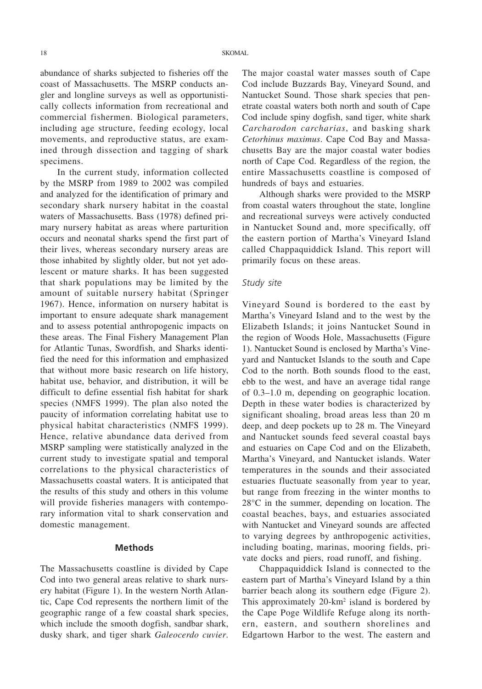abundance of sharks subjected to fisheries off the coast of Massachusetts. The MSRP conducts angler and longline surveys as well as opportunistically collects information from recreational and commercial fishermen. Biological parameters, including age structure, feeding ecology, local movements, and reproductive status, are examined through dissection and tagging of shark specimens.

In the current study, information collected by the MSRP from 1989 to 2002 was compiled and analyzed for the identification of primary and secondary shark nursery habitat in the coastal waters of Massachusetts. Bass (1978) defined primary nursery habitat as areas where parturition occurs and neonatal sharks spend the first part of their lives, whereas secondary nursery areas are those inhabited by slightly older, but not yet adolescent or mature sharks. It has been suggested that shark populations may be limited by the amount of suitable nursery habitat (Springer 1967). Hence, information on nursery habitat is important to ensure adequate shark management and to assess potential anthropogenic impacts on these areas. The Final Fishery Management Plan for Atlantic Tunas, Swordfish, and Sharks identified the need for this information and emphasized that without more basic research on life history, habitat use, behavior, and distribution, it will be difficult to define essential fish habitat for shark species (NMFS 1999). The plan also noted the paucity of information correlating habitat use to physical habitat characteristics (NMFS 1999). Hence, relative abundance data derived from MSRP sampling were statistically analyzed in the current study to investigate spatial and temporal correlations to the physical characteristics of Massachusetts coastal waters. It is anticipated that the results of this study and others in this volume will provide fisheries managers with contemporary information vital to shark conservation and domestic management.

#### **Methods**

The Massachusetts coastline is divided by Cape Cod into two general areas relative to shark nursery habitat (Figure 1). In the western North Atlantic, Cape Cod represents the northern limit of the geographic range of a few coastal shark species, which include the smooth dogfish, sandbar shark, dusky shark, and tiger shark *Galeocerdo cuvier*.

The major coastal water masses south of Cape Cod include Buzzards Bay, Vineyard Sound, and Nantucket Sound. Those shark species that penetrate coastal waters both north and south of Cape Cod include spiny dogfish, sand tiger, white shark *Carcharodon carcharias*, and basking shark *Cetorhinus maximus*. Cape Cod Bay and Massachusetts Bay are the major coastal water bodies north of Cape Cod. Regardless of the region, the entire Massachusetts coastline is composed of hundreds of bays and estuaries.

Although sharks were provided to the MSRP from coastal waters throughout the state, longline and recreational surveys were actively conducted in Nantucket Sound and, more specifically, off the eastern portion of Martha's Vineyard Island called Chappaquiddick Island. This report will primarily focus on these areas.

#### *Study site*

Vineyard Sound is bordered to the east by Martha's Vineyard Island and to the west by the Elizabeth Islands; it joins Nantucket Sound in the region of Woods Hole, Massachusetts (Figure 1). Nantucket Sound is enclosed by Martha's Vineyard and Nantucket Islands to the south and Cape Cod to the north. Both sounds flood to the east, ebb to the west, and have an average tidal range of 0.3–1.0 m, depending on geographic location. Depth in these water bodies is characterized by significant shoaling, broad areas less than 20 m deep, and deep pockets up to 28 m. The Vineyard and Nantucket sounds feed several coastal bays and estuaries on Cape Cod and on the Elizabeth, Martha's Vineyard, and Nantucket islands. Water temperatures in the sounds and their associated estuaries fluctuate seasonally from year to year, but range from freezing in the winter months to 28°C in the summer, depending on location. The coastal beaches, bays, and estuaries associated with Nantucket and Vineyard sounds are affected to varying degrees by anthropogenic activities, including boating, marinas, mooring fields, private docks and piers, road runoff, and fishing.

Chappaquiddick Island is connected to the eastern part of Martha's Vineyard Island by a thin barrier beach along its southern edge (Figure 2). This approximately 20-km<sup>2</sup> island is bordered by the Cape Poge Wildlife Refuge along its northern, eastern, and southern shorelines and Edgartown Harbor to the west. The eastern and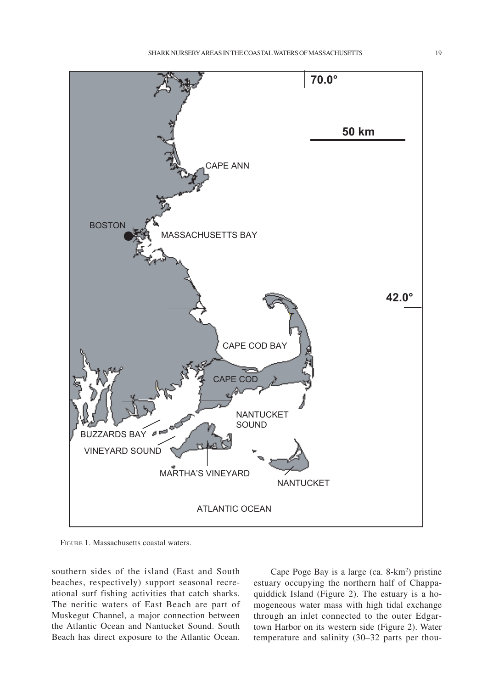

FIGURE 1. Massachusetts coastal waters.

southern sides of the island (East and South beaches, respectively) support seasonal recreational surf fishing activities that catch sharks. The neritic waters of East Beach are part of Muskegut Channel, a major connection between the Atlantic Ocean and Nantucket Sound. South Beach has direct exposure to the Atlantic Ocean.

Cape Poge Bay is a large (ca. 8-km<sup>2</sup>) pristine estuary occupying the northern half of Chappaquiddick Island (Figure 2). The estuary is a homogeneous water mass with high tidal exchange through an inlet connected to the outer Edgartown Harbor on its western side (Figure 2). Water temperature and salinity (30–32 parts per thou-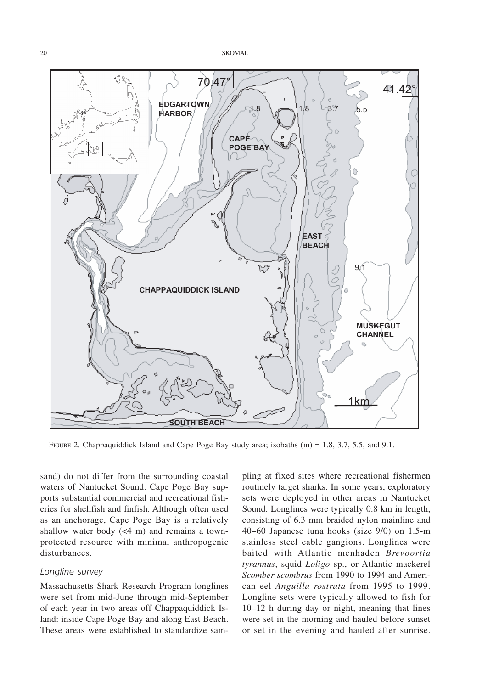

FIGURE 2. Chappaquiddick Island and Cape Poge Bay study area; isobaths (m) = 1.8, 3.7, 5.5, and 9.1.

sand) do not differ from the surrounding coastal waters of Nantucket Sound. Cape Poge Bay supports substantial commercial and recreational fisheries for shellfish and finfish. Although often used as an anchorage, Cape Poge Bay is a relatively shallow water body (<4 m) and remains a townprotected resource with minimal anthropogenic disturbances.

#### *Longline survey*

Massachusetts Shark Research Program longlines were set from mid-June through mid-September of each year in two areas off Chappaquiddick Island: inside Cape Poge Bay and along East Beach. These areas were established to standardize sampling at fixed sites where recreational fishermen routinely target sharks. In some years, exploratory sets were deployed in other areas in Nantucket Sound. Longlines were typically 0.8 km in length, consisting of 6.3 mm braided nylon mainline and 40–60 Japanese tuna hooks (size 9/0) on 1.5-m stainless steel cable gangions. Longlines were baited with Atlantic menhaden *Brevoortia tyrannus*, squid *Loligo* sp., or Atlantic mackerel *Scomber scombrus* from 1990 to 1994 and American eel *Anguilla rostrata* from 1995 to 1999. Longline sets were typically allowed to fish for 10–12 h during day or night, meaning that lines were set in the morning and hauled before sunset or set in the evening and hauled after sunrise.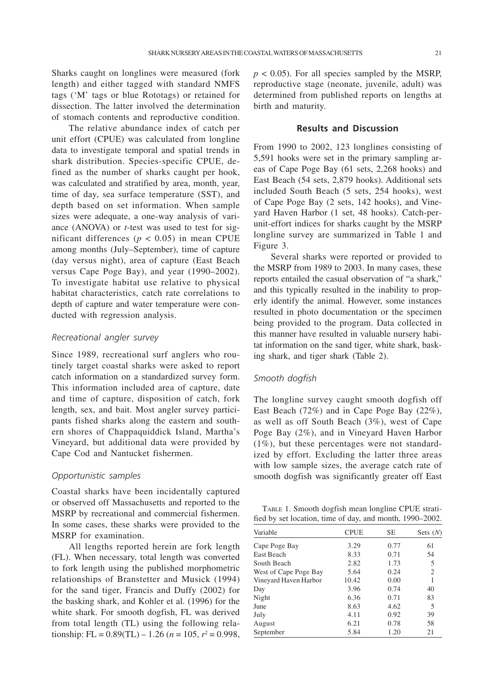Sharks caught on longlines were measured (fork length) and either tagged with standard NMFS tags ('M' tags or blue Rototags) or retained for dissection. The latter involved the determination of stomach contents and reproductive condition.

The relative abundance index of catch per unit effort (CPUE) was calculated from longline data to investigate temporal and spatial trends in shark distribution. Species-specific CPUE, defined as the number of sharks caught per hook, was calculated and stratified by area, month, year, time of day, sea surface temperature (SST), and depth based on set information. When sample sizes were adequate, a one-way analysis of variance (ANOVA) or *t*-test was used to test for significant differences ( $p < 0.05$ ) in mean CPUE among months (July–September), time of capture (day versus night), area of capture (East Beach versus Cape Poge Bay), and year (1990–2002). To investigate habitat use relative to physical habitat characteristics, catch rate correlations to depth of capture and water temperature were conducted with regression analysis.

### *Recreational angler survey*

Since 1989, recreational surf anglers who routinely target coastal sharks were asked to report catch information on a standardized survey form. This information included area of capture, date and time of capture, disposition of catch, fork length, sex, and bait. Most angler survey participants fished sharks along the eastern and southern shores of Chappaquiddick Island, Martha's Vineyard, but additional data were provided by Cape Cod and Nantucket fishermen.

#### *Opportunistic samples*

Coastal sharks have been incidentally captured or observed off Massachusetts and reported to the MSRP by recreational and commercial fishermen. In some cases, these sharks were provided to the MSRP for examination.

All lengths reported herein are fork length (FL). When necessary, total length was converted to fork length using the published morphometric relationships of Branstetter and Musick (1994) for the sand tiger, Francis and Duffy (2002) for the basking shark, and Kohler et al. (1996) for the white shark. For smooth dogfish, FL was derived from total length (TL) using the following relationship: FL =  $0.89(TL) - 1.26$  ( $n = 105$ ,  $r^2 = 0.998$ ,

 $p < 0.05$ ). For all species sampled by the MSRP, reproductive stage (neonate, juvenile, adult) was determined from published reports on lengths at birth and maturity.

## **Results and Discussion**

From 1990 to 2002, 123 longlines consisting of 5,591 hooks were set in the primary sampling areas of Cape Poge Bay (61 sets, 2,268 hooks) and East Beach (54 sets, 2,879 hooks). Additional sets included South Beach (5 sets, 254 hooks), west of Cape Poge Bay (2 sets, 142 hooks), and Vineyard Haven Harbor (1 set, 48 hooks). Catch-perunit-effort indices for sharks caught by the MSRP longline survey are summarized in Table 1 and Figure 3.

Several sharks were reported or provided to the MSRP from 1989 to 2003. In many cases, these reports entailed the casual observation of "a shark," and this typically resulted in the inability to properly identify the animal. However, some instances resulted in photo documentation or the specimen being provided to the program. Data collected in this manner have resulted in valuable nursery habitat information on the sand tiger, white shark, basking shark, and tiger shark (Table 2).

#### *Smooth dogfish*

The longline survey caught smooth dogfish off East Beach (72%) and in Cape Poge Bay (22%), as well as off South Beach (3%), west of Cape Poge Bay (2%), and in Vineyard Haven Harbor (1%), but these percentages were not standardized by effort. Excluding the latter three areas with low sample sizes, the average catch rate of smooth dogfish was significantly greater off East

| TABLE 1. Smooth dogfish mean longline CPUE strati-       |  |
|----------------------------------------------------------|--|
| fied by set location, time of day, and month, 1990–2002. |  |

| Variable              | <b>CPUE</b> | <b>SE</b> | Sets $(N)$     |  |
|-----------------------|-------------|-----------|----------------|--|
| Cape Poge Bay         | 3.29        | 0.77      | 61             |  |
| East Beach            | 8.33        | 0.71      | 54             |  |
| South Beach           | 2.82        | 1.73      | 5              |  |
| West of Cape Poge Bay | 5.64        | 0.24      | $\overline{c}$ |  |
| Vineyard Haven Harbor | 10.42       | 0.00      |                |  |
| Day                   | 3.96        | 0.74      | 40             |  |
| Night                 | 6.36        | 0.71      | 83             |  |
| June                  | 8.63        | 4.62      | 5              |  |
| July                  | 4.11        | 0.92      | 39             |  |
| August                | 6.21        | 0.78      | 58             |  |
| September             | 5.84        | 1.20      | 21             |  |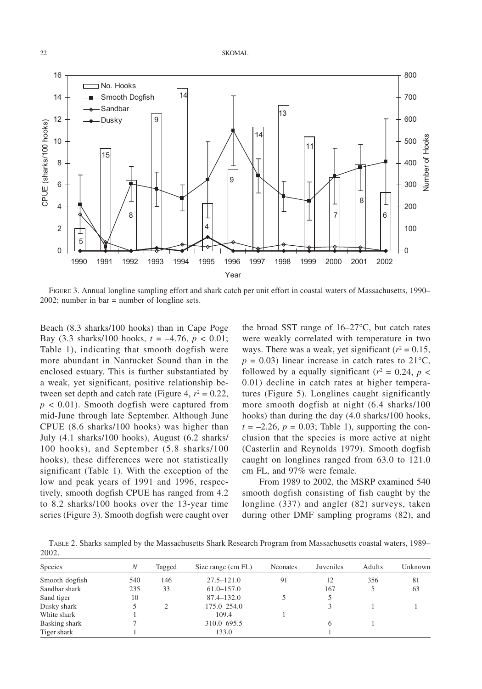

FIGURE 3. Annual longline sampling effort and shark catch per unit effort in coastal waters of Massachusetts, 1990– 2002; number in bar = number of longline sets.

Beach (8.3 sharks/100 hooks) than in Cape Poge Bay (3.3 sharks/100 hooks, *t* = –4.76, *p* < 0.01; Table 1), indicating that smooth dogfish were more abundant in Nantucket Sound than in the enclosed estuary. This is further substantiated by a weak, yet significant, positive relationship between set depth and catch rate (Figure 4,  $r^2 = 0.22$ ,  $p < 0.01$ ). Smooth dogfish were captured from mid-June through late September. Although June CPUE (8.6 sharks/100 hooks) was higher than July (4.1 sharks/100 hooks), August (6.2 sharks/ 100 hooks), and September (5.8 sharks/100 hooks), these differences were not statistically significant (Table 1). With the exception of the low and peak years of 1991 and 1996, respectively, smooth dogfish CPUE has ranged from 4.2 to 8.2 sharks/100 hooks over the 13-year time series (Figure 3). Smooth dogfish were caught over

the broad SST range of 16–27°C, but catch rates were weakly correlated with temperature in two ways. There was a weak, yet significant  $(r^2 = 0.15,$  $p = 0.03$ ) linear increase in catch rates to 21<sup>o</sup>C, followed by a equally significant ( $r^2 = 0.24$ ,  $p <$ 0.01) decline in catch rates at higher temperatures (Figure 5). Longlines caught significantly more smooth dogfish at night (6.4 sharks/100 hooks) than during the day (4.0 sharks/100 hooks,  $t = -2.26$ ,  $p = 0.03$ ; Table 1), supporting the conclusion that the species is more active at night (Casterlin and Reynolds 1979). Smooth dogfish caught on longlines ranged from 63.0 to 121.0 cm FL, and 97% were female.

From 1989 to 2002, the MSRP examined 540 smooth dogfish consisting of fish caught by the longline (337) and angler (82) surveys, taken during other DMF sampling programs (82), and

TABLE 2. Sharks sampled by the Massachusetts Shark Research Program from Massachusetts coastal waters, 1989– 2002.

| Species        | N   | Tagged | Size range (cm FL) | <b>Neonates</b> | Juveniles | Adults | Unknown |
|----------------|-----|--------|--------------------|-----------------|-----------|--------|---------|
| Smooth dogfish | 540 | 146    | $27.5 - 121.0$     | 91              | 12        | 356    | 81      |
| Sandbar shark  | 235 | 33     | $61.0 - 157.0$     |                 | 167       |        | 63      |
| Sand tiger     | 10  |        | $87.4 - 132.0$     |                 |           |        |         |
| Dusky shark    |     | 2      | $175.0 - 254.0$    |                 |           |        |         |
| White shark    |     |        | 109.4              |                 |           |        |         |
| Basking shark  |     |        | 310.0–695.5        |                 | 6         |        |         |
| Tiger shark    |     |        | 133.0              |                 |           |        |         |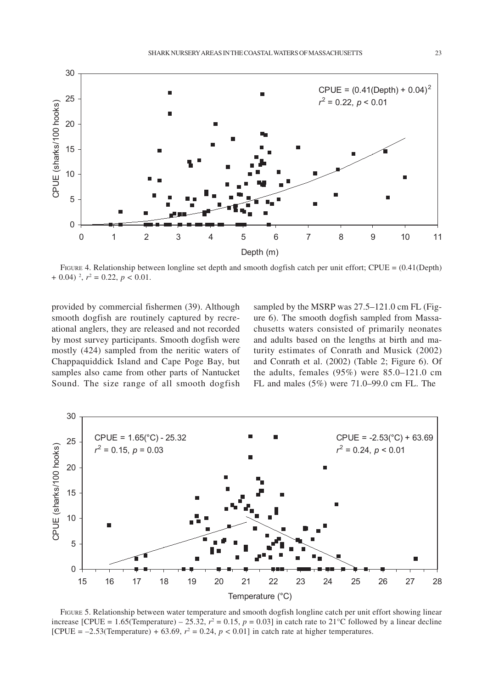

FIGURE 4. Relationship between longline set depth and smooth dogfish catch per unit effort; CPUE =  $(0.41$ (Depth)  $+$  0.04)<sup>2</sup>,  $r^2 = 0.22$ ,  $p < 0.01$ .

provided by commercial fishermen (39). Although smooth dogfish are routinely captured by recreational anglers, they are released and not recorded by most survey participants. Smooth dogfish were mostly (424) sampled from the neritic waters of Chappaquiddick Island and Cape Poge Bay, but samples also came from other parts of Nantucket Sound. The size range of all smooth dogfish sampled by the MSRP was 27.5–121.0 cm FL (Figure 6). The smooth dogfish sampled from Massachusetts waters consisted of primarily neonates and adults based on the lengths at birth and maturity estimates of Conrath and Musick (2002) and Conrath et al. (2002) (Table 2; Figure 6). Of the adults, females (95%) were 85.0–121.0 cm FL and males (5%) were 71.0–99.0 cm FL. The



FIGURE 5. Relationship between water temperature and smooth dogfish longline catch per unit effort showing linear increase [CPUE = 1.65(Temperature) – 25.32,  $r^2 = 0.15$ ,  $p = 0.03$ ] in catch rate to 21<sup>o</sup>C followed by a linear decline [CPUE =  $-2.53$ (Temperature) + 63.69,  $r^2 = 0.24$ ,  $p < 0.01$ ] in catch rate at higher temperatures.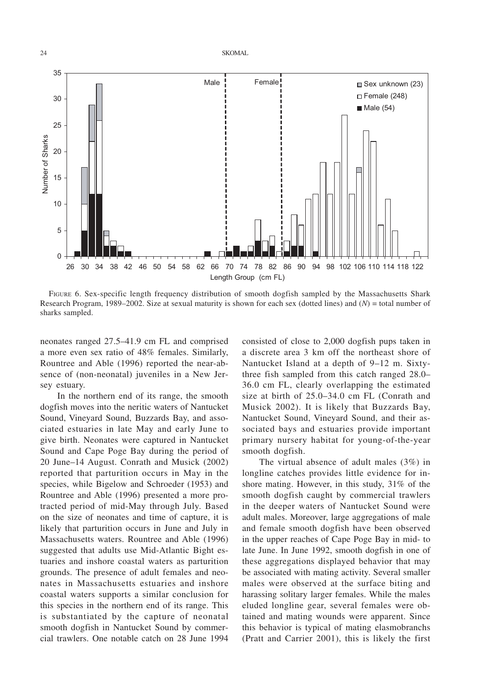

FIGURE 6. Sex-specific length frequency distribution of smooth dogfish sampled by the Massachusetts Shark Research Program, 1989–2002. Size at sexual maturity is shown for each sex (dotted lines) and (*N*) = total number of sharks sampled.

neonates ranged 27.5–41.9 cm FL and comprised a more even sex ratio of 48% females. Similarly, Rountree and Able (1996) reported the near-absence of (non-neonatal) juveniles in a New Jersey estuary.

In the northern end of its range, the smooth dogfish moves into the neritic waters of Nantucket Sound, Vineyard Sound, Buzzards Bay, and associated estuaries in late May and early June to give birth. Neonates were captured in Nantucket Sound and Cape Poge Bay during the period of 20 June–14 August. Conrath and Musick (2002) reported that parturition occurs in May in the species, while Bigelow and Schroeder (1953) and Rountree and Able (1996) presented a more protracted period of mid-May through July. Based on the size of neonates and time of capture, it is likely that parturition occurs in June and July in Massachusetts waters. Rountree and Able (1996) suggested that adults use Mid-Atlantic Bight estuaries and inshore coastal waters as parturition grounds. The presence of adult females and neonates in Massachusetts estuaries and inshore coastal waters supports a similar conclusion for this species in the northern end of its range. This is substantiated by the capture of neonatal smooth dogfish in Nantucket Sound by commercial trawlers. One notable catch on 28 June 1994

consisted of close to 2,000 dogfish pups taken in a discrete area 3 km off the northeast shore of Nantucket Island at a depth of 9–12 m. Sixtythree fish sampled from this catch ranged 28.0– 36.0 cm FL, clearly overlapping the estimated size at birth of 25.0–34.0 cm FL (Conrath and Musick 2002). It is likely that Buzzards Bay, Nantucket Sound, Vineyard Sound, and their associated bays and estuaries provide important primary nursery habitat for young-of-the-year smooth dogfish.

The virtual absence of adult males (3%) in longline catches provides little evidence for inshore mating. However, in this study, 31% of the smooth dogfish caught by commercial trawlers in the deeper waters of Nantucket Sound were adult males. Moreover, large aggregations of male and female smooth dogfish have been observed in the upper reaches of Cape Poge Bay in mid- to late June. In June 1992, smooth dogfish in one of these aggregations displayed behavior that may be associated with mating activity. Several smaller males were observed at the surface biting and harassing solitary larger females. While the males eluded longline gear, several females were obtained and mating wounds were apparent. Since this behavior is typical of mating elasmobranchs (Pratt and Carrier 2001), this is likely the first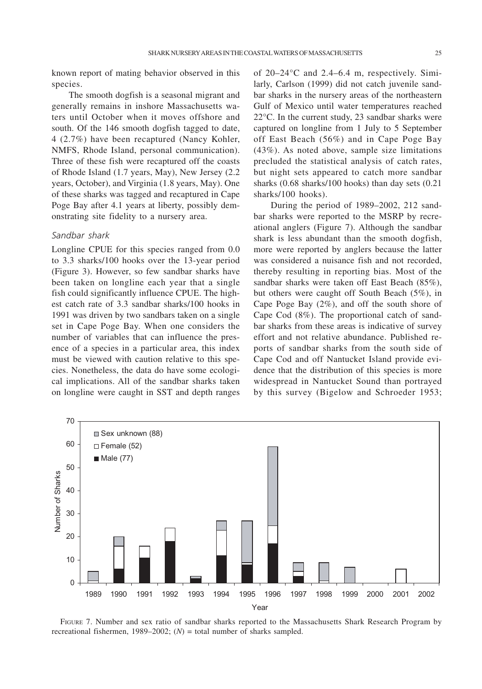known report of mating behavior observed in this species.

The smooth dogfish is a seasonal migrant and generally remains in inshore Massachusetts waters until October when it moves offshore and south. Of the 146 smooth dogfish tagged to date, 4 (2.7%) have been recaptured (Nancy Kohler, NMFS, Rhode Island, personal communication). Three of these fish were recaptured off the coasts of Rhode Island (1.7 years, May), New Jersey (2.2 years, October), and Virginia (1.8 years, May). One of these sharks was tagged and recaptured in Cape Poge Bay after 4.1 years at liberty, possibly demonstrating site fidelity to a nursery area.

## *Sandbar shark*

Longline CPUE for this species ranged from 0.0 to 3.3 sharks/100 hooks over the 13-year period (Figure 3). However, so few sandbar sharks have been taken on longline each year that a single fish could significantly influence CPUE. The highest catch rate of 3.3 sandbar sharks/100 hooks in 1991 was driven by two sandbars taken on a single set in Cape Poge Bay. When one considers the number of variables that can influence the presence of a species in a particular area, this index must be viewed with caution relative to this species. Nonetheless, the data do have some ecological implications. All of the sandbar sharks taken on longline were caught in SST and depth ranges

of 20–24°C and 2.4–6.4 m, respectively. Similarly, Carlson (1999) did not catch juvenile sandbar sharks in the nursery areas of the northeastern Gulf of Mexico until water temperatures reached 22°C. In the current study, 23 sandbar sharks were captured on longline from 1 July to 5 September off East Beach (56%) and in Cape Poge Bay (43%). As noted above, sample size limitations precluded the statistical analysis of catch rates, but night sets appeared to catch more sandbar sharks (0.68 sharks/100 hooks) than day sets (0.21 sharks/100 hooks).

During the period of 1989–2002, 212 sandbar sharks were reported to the MSRP by recreational anglers (Figure 7). Although the sandbar shark is less abundant than the smooth dogfish, more were reported by anglers because the latter was considered a nuisance fish and not recorded, thereby resulting in reporting bias. Most of the sandbar sharks were taken off East Beach (85%), but others were caught off South Beach (5%), in Cape Poge Bay (2%), and off the south shore of Cape Cod (8%). The proportional catch of sandbar sharks from these areas is indicative of survey effort and not relative abundance. Published reports of sandbar sharks from the south side of Cape Cod and off Nantucket Island provide evidence that the distribution of this species is more widespread in Nantucket Sound than portrayed by this survey (Bigelow and Schroeder 1953;



FIGURE 7. Number and sex ratio of sandbar sharks reported to the Massachusetts Shark Research Program by recreational fishermen, 1989–2002;  $(N)$  = total number of sharks sampled.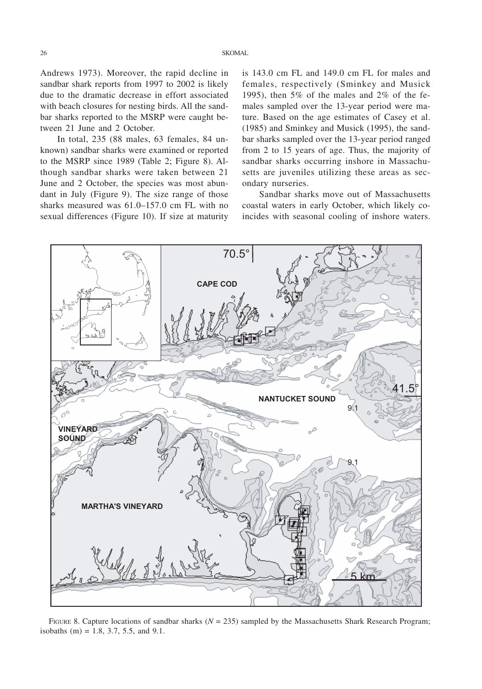Andrews 1973). Moreover, the rapid decline in sandbar shark reports from 1997 to 2002 is likely due to the dramatic decrease in effort associated with beach closures for nesting birds. All the sandbar sharks reported to the MSRP were caught between 21 June and 2 October.

In total, 235 (88 males, 63 females, 84 unknown) sandbar sharks were examined or reported to the MSRP since 1989 (Table 2; Figure 8). Although sandbar sharks were taken between 21 June and 2 October, the species was most abundant in July (Figure 9). The size range of those sharks measured was 61.0–157.0 cm FL with no sexual differences (Figure 10). If size at maturity

is 143.0 cm FL and 149.0 cm FL for males and females, respectively (Sminkey and Musick 1995), then 5% of the males and 2% of the females sampled over the 13-year period were mature. Based on the age estimates of Casey et al. (1985) and Sminkey and Musick (1995), the sandbar sharks sampled over the 13-year period ranged from 2 to 15 years of age. Thus, the majority of sandbar sharks occurring inshore in Massachusetts are juveniles utilizing these areas as secondary nurseries.

Sandbar sharks move out of Massachusetts coastal waters in early October, which likely coincides with seasonal cooling of inshore waters.



FIGURE 8. Capture locations of sandbar sharks ( $N = 235$ ) sampled by the Massachusetts Shark Research Program; isobaths  $(m) = 1.8, 3.7, 5.5,$  and 9.1.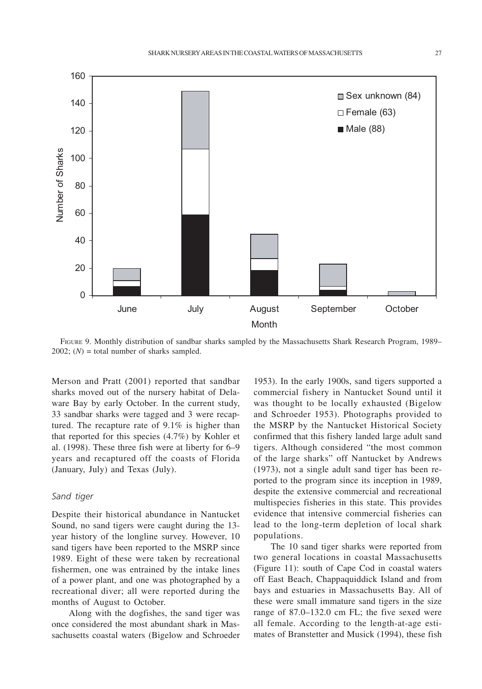

FIGURE 9. Monthly distribution of sandbar sharks sampled by the Massachusetts Shark Research Program, 1989–  $2002$ ; (*N*) = total number of sharks sampled.

Merson and Pratt (2001) reported that sandbar sharks moved out of the nursery habitat of Delaware Bay by early October. In the current study, 33 sandbar sharks were tagged and 3 were recaptured. The recapture rate of 9.1% is higher than that reported for this species (4.7%) by Kohler et al. (1998). These three fish were at liberty for 6–9 years and recaptured off the coasts of Florida (January, July) and Texas (July).

## *Sand tiger*

Despite their historical abundance in Nantucket Sound, no sand tigers were caught during the 13 year history of the longline survey. However, 10 sand tigers have been reported to the MSRP since 1989. Eight of these were taken by recreational fishermen, one was entrained by the intake lines of a power plant, and one was photographed by a recreational diver; all were reported during the months of August to October.

Along with the dogfishes, the sand tiger was once considered the most abundant shark in Massachusetts coastal waters (Bigelow and Schroeder

1953). In the early 1900s, sand tigers supported a commercial fishery in Nantucket Sound until it was thought to be locally exhausted (Bigelow and Schroeder 1953). Photographs provided to the MSRP by the Nantucket Historical Society confirmed that this fishery landed large adult sand tigers. Although considered "the most common of the large sharks" off Nantucket by Andrews (1973), not a single adult sand tiger has been reported to the program since its inception in 1989, despite the extensive commercial and recreational multispecies fisheries in this state. This provides evidence that intensive commercial fisheries can lead to the long-term depletion of local shark populations.

The 10 sand tiger sharks were reported from two general locations in coastal Massachusetts (Figure 11): south of Cape Cod in coastal waters off East Beach, Chappaquiddick Island and from bays and estuaries in Massachusetts Bay. All of these were small immature sand tigers in the size range of 87.0–132.0 cm FL; the five sexed were all female. According to the length-at-age estimates of Branstetter and Musick (1994), these fish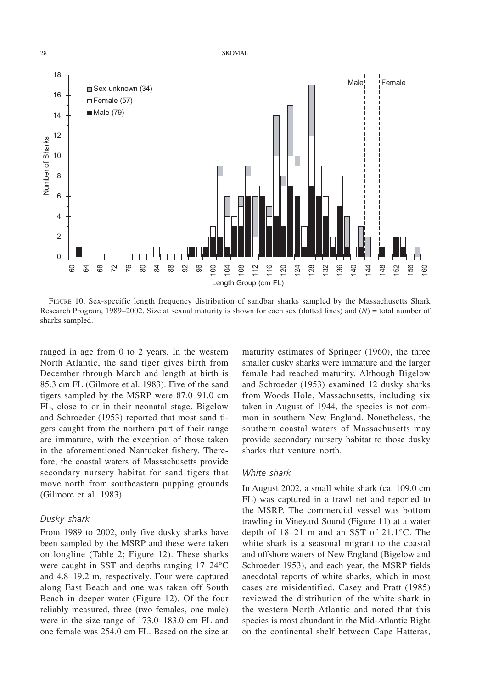

FIGURE 10. Sex-specific length frequency distribution of sandbar sharks sampled by the Massachusetts Shark Research Program, 1989–2002. Size at sexual maturity is shown for each sex (dotted lines) and (*N*) = total number of sharks sampled.

ranged in age from 0 to 2 years. In the western North Atlantic, the sand tiger gives birth from December through March and length at birth is 85.3 cm FL (Gilmore et al. 1983). Five of the sand tigers sampled by the MSRP were 87.0–91.0 cm FL, close to or in their neonatal stage. Bigelow and Schroeder (1953) reported that most sand tigers caught from the northern part of their range are immature, with the exception of those taken in the aforementioned Nantucket fishery. Therefore, the coastal waters of Massachusetts provide secondary nursery habitat for sand tigers that move north from southeastern pupping grounds (Gilmore et al. 1983).

## *Dusky shark*

From 1989 to 2002, only five dusky sharks have been sampled by the MSRP and these were taken on longline (Table 2; Figure 12). These sharks were caught in SST and depths ranging 17–24°C and 4.8–19.2 m, respectively. Four were captured along East Beach and one was taken off South Beach in deeper water (Figure 12). Of the four reliably measured, three (two females, one male) were in the size range of 173.0–183.0 cm FL and one female was 254.0 cm FL. Based on the size at

maturity estimates of Springer (1960), the three smaller dusky sharks were immature and the larger female had reached maturity. Although Bigelow and Schroeder (1953) examined 12 dusky sharks from Woods Hole, Massachusetts, including six taken in August of 1944, the species is not common in southern New England. Nonetheless, the southern coastal waters of Massachusetts may provide secondary nursery habitat to those dusky sharks that venture north.

#### *White shark*

In August 2002, a small white shark (ca. 109.0 cm FL) was captured in a trawl net and reported to the MSRP. The commercial vessel was bottom trawling in Vineyard Sound (Figure 11) at a water depth of 18–21 m and an SST of 21.1°C. The white shark is a seasonal migrant to the coastal and offshore waters of New England (Bigelow and Schroeder 1953), and each year, the MSRP fields anecdotal reports of white sharks, which in most cases are misidentified. Casey and Pratt (1985) reviewed the distribution of the white shark in the western North Atlantic and noted that this species is most abundant in the Mid-Atlantic Bight on the continental shelf between Cape Hatteras,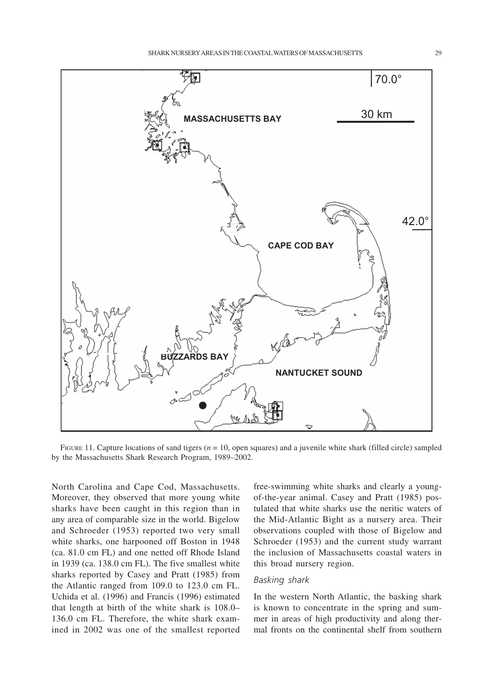

FIGURE 11. Capture locations of sand tigers  $(n = 10)$ , open squares) and a juvenile white shark (filled circle) sampled by the Massachusetts Shark Research Program, 1989–2002.

North Carolina and Cape Cod, Massachusetts. Moreover, they observed that more young white sharks have been caught in this region than in any area of comparable size in the world. Bigelow and Schroeder (1953) reported two very small white sharks, one harpooned off Boston in 1948 (ca. 81.0 cm FL) and one netted off Rhode Island in 1939 (ca. 138.0 cm FL). The five smallest white sharks reported by Casey and Pratt (1985) from the Atlantic ranged from 109.0 to 123.0 cm FL. Uchida et al. (1996) and Francis (1996) estimated that length at birth of the white shark is 108.0– 136.0 cm FL. Therefore, the white shark examined in 2002 was one of the smallest reported free-swimming white sharks and clearly a youngof-the-year animal. Casey and Pratt (1985) postulated that white sharks use the neritic waters of the Mid-Atlantic Bight as a nursery area. Their observations coupled with those of Bigelow and Schroeder (1953) and the current study warrant the inclusion of Massachusetts coastal waters in this broad nursery region.

#### *Basking shark*

In the western North Atlantic, the basking shark is known to concentrate in the spring and summer in areas of high productivity and along thermal fronts on the continental shelf from southern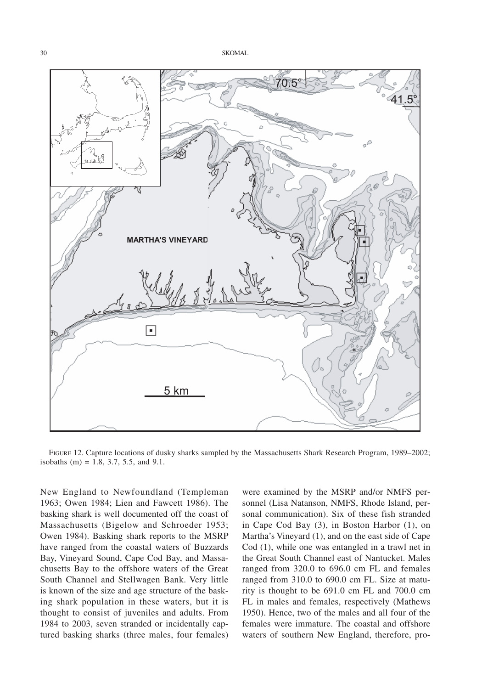

FIGURE 12. Capture locations of dusky sharks sampled by the Massachusetts Shark Research Program, 1989–2002; isobaths (m) = 1.8, 3.7, 5.5, and 9.1.

New England to Newfoundland (Templeman 1963; Owen 1984; Lien and Fawcett 1986). The basking shark is well documented off the coast of Massachusetts (Bigelow and Schroeder 1953; Owen 1984). Basking shark reports to the MSRP have ranged from the coastal waters of Buzzards Bay, Vineyard Sound, Cape Cod Bay, and Massachusetts Bay to the offshore waters of the Great South Channel and Stellwagen Bank. Very little is known of the size and age structure of the basking shark population in these waters, but it is thought to consist of juveniles and adults. From 1984 to 2003, seven stranded or incidentally captured basking sharks (three males, four females)

were examined by the MSRP and/or NMFS personnel (Lisa Natanson, NMFS, Rhode Island, personal communication). Six of these fish stranded in Cape Cod Bay (3), in Boston Harbor (1), on Martha's Vineyard (1), and on the east side of Cape Cod (1), while one was entangled in a trawl net in the Great South Channel east of Nantucket. Males ranged from 320.0 to 696.0 cm FL and females ranged from 310.0 to 690.0 cm FL. Size at maturity is thought to be 691.0 cm FL and 700.0 cm FL in males and females, respectively (Mathews 1950). Hence, two of the males and all four of the females were immature. The coastal and offshore waters of southern New England, therefore, pro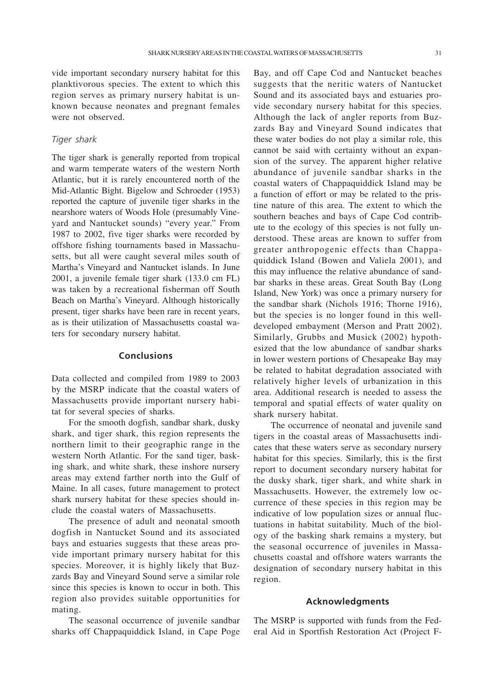vide important secondary nursery habitat for this planktivorous species. The extent to which this region serves as primary nursery habitat is unknown because neonates and pregnant females were not observed.

#### *Tiger shark*

The tiger shark is generally reported from tropical and warm temperate waters of the western North Atlantic, but it is rarely encountered north of the Mid-Atlantic Bight. Bigelow and Schroeder (1953) reported the capture of juvenile tiger sharks in the nearshore waters of Woods Hole (presumably Vineyard and Nantucket sounds) "every year." From 1987 to 2002, five tiger sharks were recorded by offshore fishing tournaments based in Massachusetts, but all were caught several miles south of Martha's Vineyard and Nantucket islands. In June 2001, a juvenile female tiger shark (133.0 cm FL) was taken by a recreational fisherman off South Beach on Martha's Vineyard. Although historically present, tiger sharks have been rare in recent years, as is their utilization of Massachusetts coastal waters for secondary nursery habitat.

#### **Conclusions**

Data collected and compiled from 1989 to 2003 by the MSRP indicate that the coastal waters of Massachusetts provide important nursery habitat for several species of sharks.

For the smooth dogfish, sandbar shark, dusky shark, and tiger shark, this region represents the northern limit to their geographic range in the western North Atlantic. For the sand tiger, basking shark, and white shark, these inshore nursery areas may extend farther north into the Gulf of Maine. In all cases, future management to protect shark nursery habitat for these species should include the coastal waters of Massachusetts.

The presence of adult and neonatal smooth dogfish in Nantucket Sound and its associated bays and estuaries suggests that these areas provide important primary nursery habitat for this species. Moreover, it is highly likely that Buzzards Bay and Vineyard Sound serve a similar role since this species is known to occur in both. This region also provides suitable opportunities for mating.

The seasonal occurrence of juvenile sandbar sharks off Chappaquiddick Island, in Cape Poge Bay, and off Cape Cod and Nantucket beaches suggests that the neritic waters of Nantucket Sound and its associated bays and estuaries provide secondary nursery habitat for this species. Although the lack of angler reports from Buzzards Bay and Vineyard Sound indicates that these water bodies do not play a similar role, this cannot be said with certainty without an expansion of the survey. The apparent higher relative abundance of juvenile sandbar sharks in the coastal waters of Chappaquiddick Island may be a function of effort or may be related to the pristine nature of this area. The extent to which the southern beaches and bays of Cape Cod contribute to the ecology of this species is not fully understood. These areas are known to suffer from greater anthropogenic effects than Chappaquiddick Island (Bowen and Valiela 2001), and this may influence the relative abundance of sandbar sharks in these areas. Great South Bay (Long Island, New York) was once a primary nursery for the sandbar shark (Nichols 1916; Thorne 1916), but the species is no longer found in this welldeveloped embayment (Merson and Pratt 2002). Similarly, Grubbs and Musick (2002) hypothesized that the low abundance of sandbar sharks in lower western portions of Chesapeake Bay may be related to habitat degradation associated with relatively higher levels of urbanization in this area. Additional research is needed to assess the temporal and spatial effects of water quality on shark nursery habitat.

The occurrence of neonatal and juvenile sand tigers in the coastal areas of Massachusetts indicates that these waters serve as secondary nursery habitat for this species. Similarly, this is the first report to document secondary nursery habitat for the dusky shark, tiger shark, and white shark in Massachusetts. However, the extremely low occurrence of these species in this region may be indicative of low population sizes or annual fluctuations in habitat suitability. Much of the biology of the basking shark remains a mystery, but the seasonal occurrence of juveniles in Massachusetts coastal and offshore waters warrants the designation of secondary nursery habitat in this region.

## **Acknowledgments**

The MSRP is supported with funds from the Federal Aid in Sportfish Restoration Act (Project F-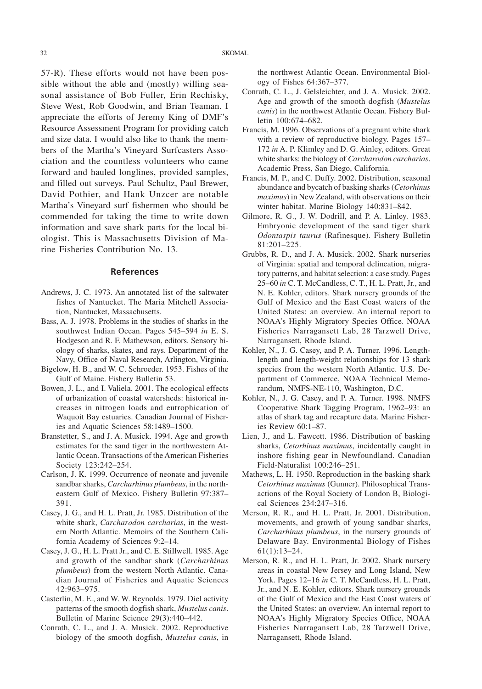57-R). These efforts would not have been possible without the able and (mostly) willing seasonal assistance of Bob Fuller, Erin Rechisky, Steve West, Rob Goodwin, and Brian Teaman. I appreciate the efforts of Jeremy King of DMF's Resource Assessment Program for providing catch and size data. I would also like to thank the members of the Martha's Vineyard Surfcasters Association and the countless volunteers who came forward and hauled longlines, provided samples, and filled out surveys. Paul Schultz, Paul Brewer, David Pothier, and Hank Unzcer are notable Martha's Vineyard surf fishermen who should be commended for taking the time to write down information and save shark parts for the local biologist. This is Massachusetts Division of Marine Fisheries Contribution No. 13.

# **References**

- Andrews, J. C. 1973. An annotated list of the saltwater fishes of Nantucket. The Maria Mitchell Association, Nantucket, Massachusetts.
- Bass, A. J. 1978. Problems in the studies of sharks in the southwest Indian Ocean. Pages 545–594 *in* E. S. Hodgeson and R. F. Mathewson, editors. Sensory biology of sharks, skates, and rays. Department of the Navy, Office of Naval Research, Arlington, Virginia.
- Bigelow, H. B., and W. C. Schroeder. 1953. Fishes of the Gulf of Maine. Fishery Bulletin 53.
- Bowen, J. L., and I. Valiela. 2001. The ecological effects of urbanization of coastal watersheds: historical increases in nitrogen loads and eutrophication of Waquoit Bay estuaries. Canadian Journal of Fisheries and Aquatic Sciences 58:1489–1500.
- Branstetter, S., and J. A. Musick. 1994. Age and growth estimates for the sand tiger in the northwestern Atlantic Ocean. Transactions of the American Fisheries Society 123:242–254.
- Carlson, J. K. 1999. Occurrence of neonate and juvenile sandbar sharks, *Carcharhinus plumbeus*, in the northeastern Gulf of Mexico. Fishery Bulletin 97:387– 391.
- Casey, J. G., and H. L. Pratt, Jr. 1985. Distribution of the white shark, *Carcharodon carcharias*, in the western North Atlantic. Memoirs of the Southern California Academy of Sciences 9:2–14.
- Casey, J. G., H. L. Pratt Jr., and C. E. Stillwell. 1985. Age and growth of the sandbar shark (*Carcharhinus plumbeus*) from the western North Atlantic. Canadian Journal of Fisheries and Aquatic Sciences 42:963–975.
- Casterlin, M. E., and W. W. Reynolds. 1979. Diel activity patterns of the smooth dogfish shark, *Mustelus canis*. Bulletin of Marine Science 29(3):440–442.
- Conrath, C. L., and J. A. Musick. 2002. Reproductive biology of the smooth dogfish, *Mustelus canis*, in

the northwest Atlantic Ocean. Environmental Biology of Fishes 64:367–377.

- Conrath, C. L., J. Gelsleichter, and J. A. Musick. 2002. Age and growth of the smooth dogfish (*Mustelus canis*) in the northwest Atlantic Ocean. Fishery Bulletin 100:674–682.
- Francis, M. 1996. Observations of a pregnant white shark with a review of reproductive biology. Pages 157– 172 *in* A. P. Klimley and D. G. Ainley, editors. Great white sharks: the biology of *Carcharodon carcharias*. Academic Press, San Diego, California.
- Francis, M. P., and C. Duffy. 2002. Distribution, seasonal abundance and bycatch of basking sharks (*Cetorhinus maximus*) in New Zealand, with observations on their winter habitat. Marine Biology 140:831–842.
- Gilmore, R. G., J. W. Dodrill, and P. A. Linley. 1983. Embryonic development of the sand tiger shark *Odontaspis taurus* (Rafinesque). Fishery Bulletin 81:201–225.
- Grubbs, R. D., and J. A. Musick. 2002. Shark nurseries of Virginia: spatial and temporal delineation, migratory patterns, and habitat selection: a case study. Pages 25–60 *in* C. T. McCandless, C. T., H. L. Pratt, Jr., and N. E. Kohler, editors. Shark nursery grounds of the Gulf of Mexico and the East Coast waters of the United States: an overview. An internal report to NOAA's Highly Migratory Species Office. NOAA Fisheries Narragansett Lab, 28 Tarzwell Drive, Narragansett, Rhode Island.
- Kohler, N., J. G. Casey, and P. A. Turner. 1996. Lengthlength and length-weight relationships for 13 shark species from the western North Atlantic. U.S. Department of Commerce, NOAA Technical Memorandum, NMFS-NE-110, Washington, D.C.
- Kohler, N., J. G. Casey, and P. A. Turner. 1998. NMFS Cooperative Shark Tagging Program, 1962–93: an atlas of shark tag and recapture data. Marine Fisheries Review 60:1–87.
- Lien, J., and L. Fawcett. 1986. Distribution of basking sharks, *Cetorhinus maximus*, incidentally caught in inshore fishing gear in Newfoundland. Canadian Field-Naturalist 100:246–251.
- Mathews, L. H. 1950. Reproduction in the basking shark *Cetorhinus maximus* (Gunner). Philosophical Transactions of the Royal Society of London B, Biological Sciences 234:247–316.
- Merson, R. R., and H. L. Pratt, Jr. 2001. Distribution, movements, and growth of young sandbar sharks, *Carcharhinus plumbeus*, in the nursery grounds of Delaware Bay. Environmental Biology of Fishes 61(1):13–24.
- Merson, R. R., and H. L. Pratt, Jr. 2002. Shark nursery areas in coastal New Jersey and Long Island, New York. Pages 12-16 *in* C. T. McCandless, H. L. Pratt, Jr., and N. E. Kohler, editors. Shark nursery grounds of the Gulf of Mexico and the East Coast waters of the United States: an overview. An internal report to NOAA's Highly Migratory Species Office, NOAA Fisheries Narragansett Lab, 28 Tarzwell Drive, Narragansett, Rhode Island.